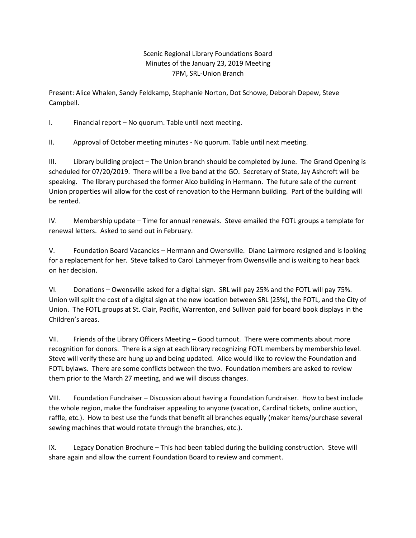## Scenic Regional Library Foundations Board Minutes of the January 23, 2019 Meeting 7PM, SRL-Union Branch

Present: Alice Whalen, Sandy Feldkamp, Stephanie Norton, Dot Schowe, Deborah Depew, Steve Campbell.

I. Financial report – No quorum. Table until next meeting.

II. Approval of October meeting minutes - No quorum. Table until next meeting.

III. Library building project – The Union branch should be completed by June. The Grand Opening is scheduled for 07/20/2019. There will be a live band at the GO. Secretary of State, Jay Ashcroft will be speaking. The library purchased the former Alco building in Hermann. The future sale of the current Union properties will allow for the cost of renovation to the Hermann building. Part of the building will be rented.

IV. Membership update – Time for annual renewals. Steve emailed the FOTL groups a template for renewal letters. Asked to send out in February.

V. Foundation Board Vacancies – Hermann and Owensville. Diane Lairmore resigned and is looking for a replacement for her. Steve talked to Carol Lahmeyer from Owensville and is waiting to hear back on her decision.

VI. Donations – Owensville asked for a digital sign. SRL will pay 25% and the FOTL will pay 75%. Union will split the cost of a digital sign at the new location between SRL (25%), the FOTL, and the City of Union. The FOTL groups at St. Clair, Pacific, Warrenton, and Sullivan paid for board book displays in the Children's areas.

VII. Friends of the Library Officers Meeting – Good turnout. There were comments about more recognition for donors. There is a sign at each library recognizing FOTL members by membership level. Steve will verify these are hung up and being updated. Alice would like to review the Foundation and FOTL bylaws. There are some conflicts between the two. Foundation members are asked to review them prior to the March 27 meeting, and we will discuss changes.

VIII. Foundation Fundraiser – Discussion about having a Foundation fundraiser. How to best include the whole region, make the fundraiser appealing to anyone (vacation, Cardinal tickets, online auction, raffle, etc.). How to best use the funds that benefit all branches equally (maker items/purchase several sewing machines that would rotate through the branches, etc.).

IX. Legacy Donation Brochure – This had been tabled during the building construction. Steve will share again and allow the current Foundation Board to review and comment.